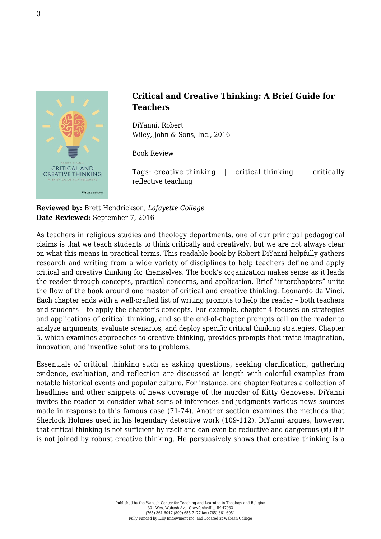

## **Critical and Creative Thinking: A Brief Guide for Teachers**

DiYanni, Robert [Wiley, John & Sons, Inc., 2016](http://www.wiley.com/WileyCDA/WileyTitle/productCd-1118955374.html)

Book Review

Tags: creative thinking | critical thinking | critically reflective teaching

**Reviewed by:** Brett Hendrickson, *Lafayette College* **Date Reviewed:** September 7, 2016

As teachers in religious studies and theology departments, one of our principal pedagogical claims is that we teach students to think critically and creatively, but we are not always clear on what this means in practical terms. This readable book by Robert DiYanni helpfully gathers research and writing from a wide variety of disciplines to help teachers define and apply critical and creative thinking for themselves. The book's organization makes sense as it leads the reader through concepts, practical concerns, and application. Brief "interchapters" unite the flow of the book around one master of critical and creative thinking, Leonardo da Vinci. Each chapter ends with a well-crafted list of writing prompts to help the reader – both teachers and students – to apply the chapter's concepts. For example, chapter 4 focuses on strategies and applications of critical thinking, and so the end-of-chapter prompts call on the reader to analyze arguments, evaluate scenarios, and deploy specific critical thinking strategies. Chapter 5, which examines approaches to creative thinking, provides prompts that invite imagination, innovation, and inventive solutions to problems.

Essentials of critical thinking such as asking questions, seeking clarification, gathering evidence, evaluation, and reflection are discussed at length with colorful examples from notable historical events and popular culture. For instance, one chapter features a collection of headlines and other snippets of news coverage of the murder of Kitty Genovese. DiYanni invites the reader to consider what sorts of inferences and judgments various news sources made in response to this famous case (71-74). Another section examines the methods that Sherlock Holmes used in his legendary detective work (109-112). DiYanni argues, however, that critical thinking is not sufficient by itself and can even be reductive and dangerous (xi) if it is not joined by robust creative thinking. He persuasively shows that creative thinking is a